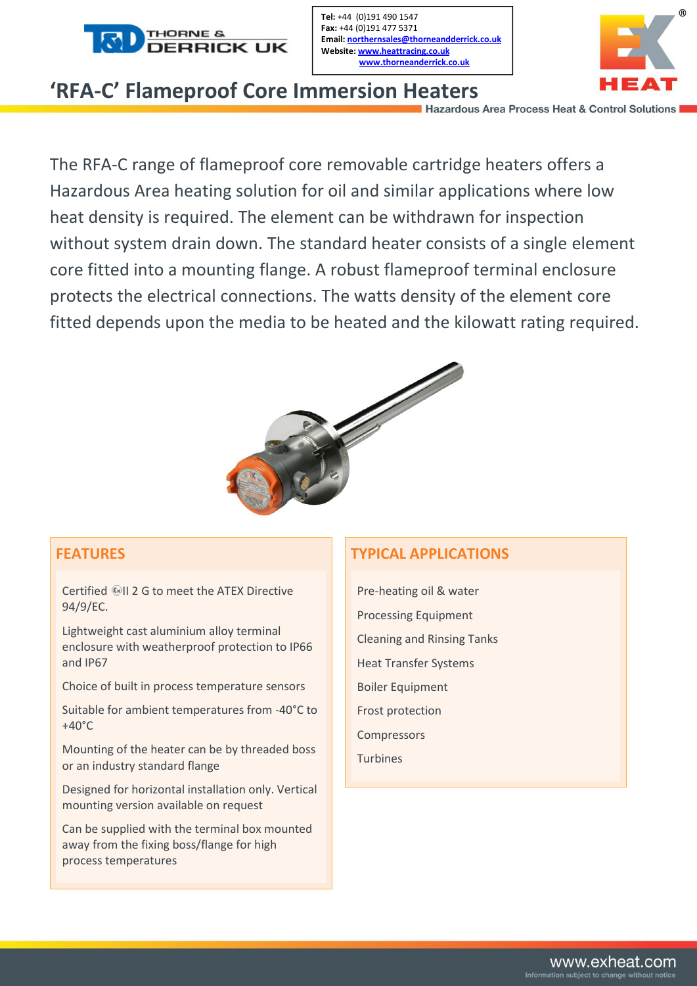

Tel: +44 (0)191 490 1547 Fax: +44 (0)191 477 5371 Email: northernsales@thorneandderrick.co.uk Website: www.heattracing.co.uk www.thorneanderrick.co.uk



## **'RFA-C' Flameproof Core Immersion Heaters**

The RFA-C range of flameproof core removable cartridge heaters offers a Hazardous Area heating solution for oil and similar applications where low heat density is required. The element can be withdrawn for inspection without system drain down. The standard heater consists of a single element core fitted into a mounting flange. A robust flameproof terminal enclosure protects the electrical connections. The watts density of the element core fitted depends upon the media to be heated and the kilowatt rating required.



## **FEATURES**

Certified II 2 G to meet the ATEX Directive 94/9/EC.

Lightweight cast aluminium alloy terminal enclosure with weatherproof protection to IP66 and IP67

Choice of built in process temperature sensors

Suitable for ambient temperatures from -40°C to  $+40^{\circ}$ C

Mounting of the heater can be by threaded boss or an industry standard flange

Designed for horizontal installation only. Vertical mounting version available on request

Can be supplied with the terminal box mounted away from the fixing boss/flange for high process temperatures

## **TYPICAL APPLICATIONS**

Pre-heating oil & water Processing Equipment Cleaning and Rinsing Tanks Heat Transfer Systems Boiler Equipment Frost protection Compressors Turbines